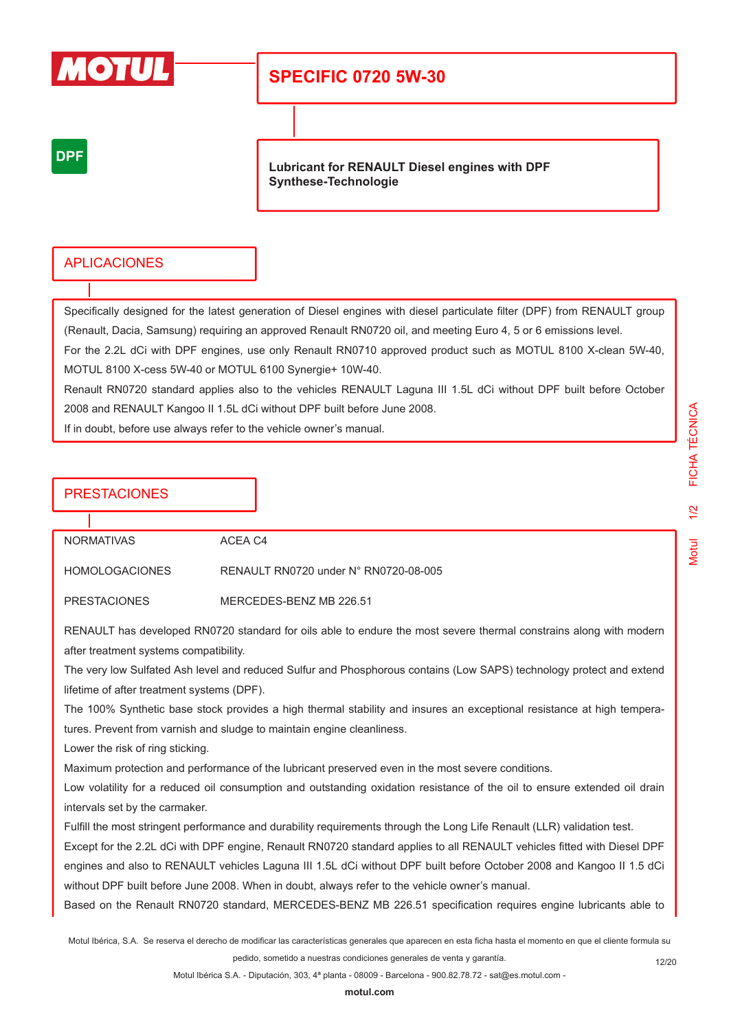

# **SPECIFIC 0720 5W-30**

## **DPF**

**Lubricant for RENAULT Diesel engines with DPF Synthese-Technologie**

### APLICACIONES

Specifically designed for the latest generation of Diesel engines with diesel particulate filter (DPF) from RENAULT group (Renault, Dacia, Samsung) requiring an approved Renault RN0720 oil, and meeting Euro 4, 5 or 6 emissions level. For the 2.2L dCi with DPF engines, use only Renault RN0710 approved product such as MOTUL 8100 X-clean 5W-40, MOTUL 8100 X-cess 5W-40 or MOTUL 6100 Synergie+ 10W-40.

Renault RN0720 standard applies also to the vehicles RENAULT Laguna III 1.5L dCi without DPF built before October 2008 and RENAULT Kangoo II 1.5L dCi without DPF built before June 2008.

If in doubt, before use always refer to the vehicle owner's manual.

### PRESTACIONES

NORMATIVAS ACEA C4

HOMOLOGACIONES RENAULT RN0720 under N° RN0720-08-005

PRESTACIONES MERCEDES-BENZ MB 226.51

RENAULT has developed RN0720 standard for oils able to endure the most severe thermal constrains along with modern after treatment systems compatibility.

The very low Sulfated Ash level and reduced Sulfur and Phosphorous contains (Low SAPS) technology protect and extend lifetime of after treatment systems (DPF).

The 100% Synthetic base stock provides a high thermal stability and insures an exceptional resistance at high temperatures. Prevent from varnish and sludge to maintain engine cleanliness.

Lower the risk of ring sticking.

Maximum protection and performance of the lubricant preserved even in the most severe conditions.

Low volatility for a reduced oil consumption and outstanding oxidation resistance of the oil to ensure extended oil drain intervals set by the carmaker.

Fulfill the most stringent performance and durability requirements through the Long Life Renault (LLR) validation test.

Except for the 2.2L dCi with DPF engine, Renault RN0720 standard applies to all RENAULT vehicles fitted with Diesel DPF engines and also to RENAULT vehicles Laguna III 1.5L dCi without DPF built before October 2008 and Kangoo II 1.5 dCi without DPF built before June 2008. When in doubt, always refer to the vehicle owner's manual.

Based on the Renault RN0720 standard, MERCEDES-BENZ MB 226.51 specification requires engine lubricants able to

Motul Ibérica, S.A. Se reserva el derecho de modificar las características generales que aparecen en esta ficha hasta el momento en que el cliente formula su pedido, sometido a nuestras condiciones generales de venta y garantía.

Motul 1/2 FICHA TÉCNICA

 $\overline{2}$ 

**Motul** 

FICHA TÉCNICA